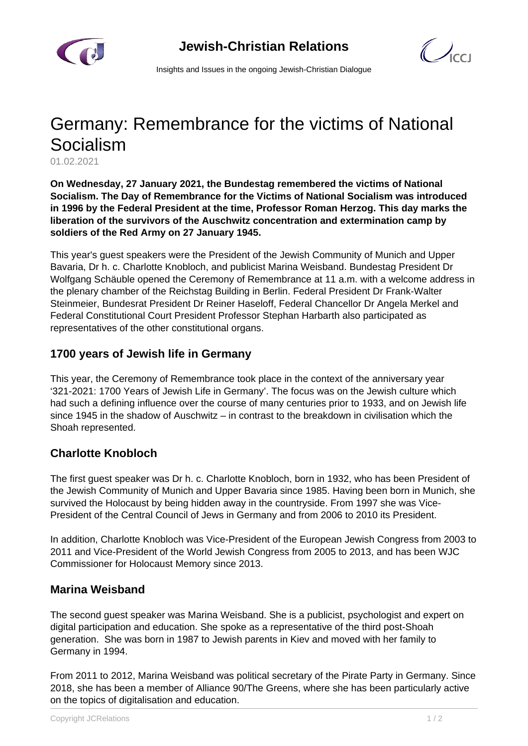

 $\mathcal{C}$ 

Insights and Issues in the ongoing Jewish-Christian Dialogue

# Germany: Remembrance for the victims of National Socialism

01.02.2021

**On Wednesday, 27 January 2021, the Bundestag remembered the victims of National Socialism. The Day of Remembrance for the Victims of National Socialism was introduced in 1996 by the Federal President at the time, Professor Roman Herzog. This day marks the liberation of the survivors of the Auschwitz concentration and extermination camp by soldiers of the Red Army on 27 January 1945.**

This year's guest speakers were the President of the Jewish Community of Munich and Upper Bavaria, Dr h. c. Charlotte Knobloch, and publicist Marina Weisband. Bundestag President Dr Wolfgang Schäuble opened the Ceremony of Remembrance at 11 a.m. with a welcome address in the plenary chamber of the Reichstag Building in Berlin. Federal President Dr Frank-Walter Steinmeier, Bundesrat President Dr Reiner Haseloff, Federal Chancellor Dr Angela Merkel and Federal Constitutional Court President Professor Stephan Harbarth also participated as representatives of the other constitutional organs.

#### **1700 years of Jewish life in Germany**

This year, the Ceremony of Remembrance took place in the context of the anniversary year '321-2021: 1700 Years of Jewish Life in Germany'. The focus was on the Jewish culture which had such a defining influence over the course of many centuries prior to 1933, and on Jewish life since 1945 in the shadow of Auschwitz – in contrast to the breakdown in civilisation which the Shoah represented.

### **Charlotte Knobloch**

The first guest speaker was Dr h. c. Charlotte Knobloch, born in 1932, who has been President of the Jewish Community of Munich and Upper Bavaria since 1985. Having been born in Munich, she survived the Holocaust by being hidden away in the countryside. From 1997 she was Vice-President of the Central Council of Jews in Germany and from 2006 to 2010 its President.

In addition, Charlotte Knobloch was Vice-President of the European Jewish Congress from 2003 to 2011 and Vice-President of the World Jewish Congress from 2005 to 2013, and has been WJC Commissioner for Holocaust Memory since 2013.

### **Marina Weisband**

The second guest speaker was Marina Weisband. She is a publicist, psychologist and expert on digital participation and education. She spoke as a representative of the third post-Shoah generation. She was born in 1987 to Jewish parents in Kiev and moved with her family to Germany in 1994.

From 2011 to 2012, Marina Weisband was political secretary of the Pirate Party in Germany. Since 2018, she has been a member of Alliance 90/The Greens, where she has been particularly active on the topics of digitalisation and education.